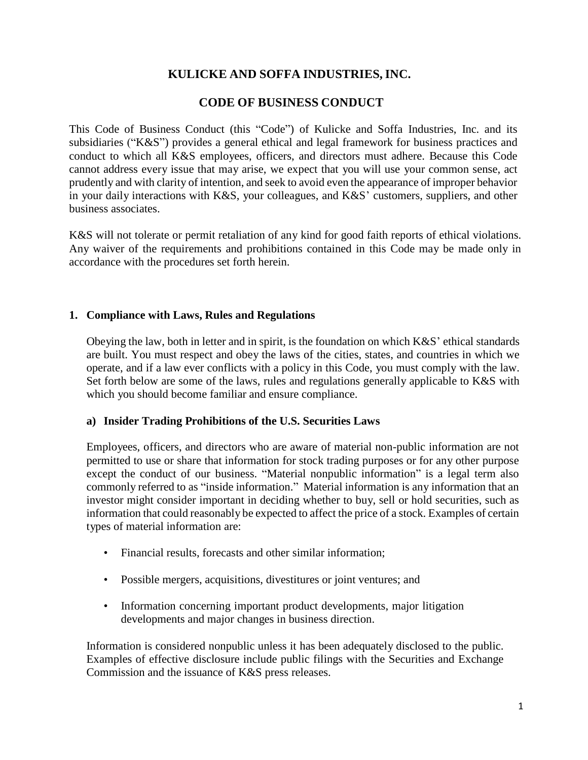# **KULICKE AND SOFFA INDUSTRIES, INC.**

# **CODE OF BUSINESS CONDUCT**

This Code of Business Conduct (this "Code") of Kulicke and Soffa Industries, Inc. and its subsidiaries ("K&S") provides a general ethical and legal framework for business practices and conduct to which all K&S employees, officers, and directors must adhere. Because this Code cannot address every issue that may arise, we expect that you will use your common sense, act prudently and with clarity of intention, and seek to avoid even the appearance of improper behavior in your daily interactions with K&S, your colleagues, and K&S' customers, suppliers, and other business associates.

K&S will not tolerate or permit retaliation of any kind for good faith reports of ethical violations. Any waiver of the requirements and prohibitions contained in this Code may be made only in accordance with the procedures set forth herein.

### **1. Compliance with Laws, Rules and Regulations**

Obeying the law, both in letter and in spirit, is the foundation on which K&S' ethical standards are built. You must respect and obey the laws of the cities, states, and countries in which we operate, and if a law ever conflicts with a policy in this Code, you must comply with the law. Set forth below are some of the laws, rules and regulations generally applicable to K&S with which you should become familiar and ensure compliance.

### **a) Insider Trading Prohibitions of the U.S. Securities Laws**

Employees, officers, and directors who are aware of material non-public information are not permitted to use or share that information for stock trading purposes or for any other purpose except the conduct of our business. "Material nonpublic information" is a legal term also commonly referred to as "inside information." Material information is any information that an investor might consider important in deciding whether to buy, sell or hold securities, such as information that could reasonably be expected to affect the price of a stock. Examples of certain types of material information are:

- Financial results, forecasts and other similar information;
- Possible mergers, acquisitions, divestitures or joint ventures; and
- Information concerning important product developments, major litigation developments and major changes in business direction.

Information is considered nonpublic unless it has been adequately disclosed to the public. Examples of effective disclosure include public filings with the Securities and Exchange Commission and the issuance of K&S press releases.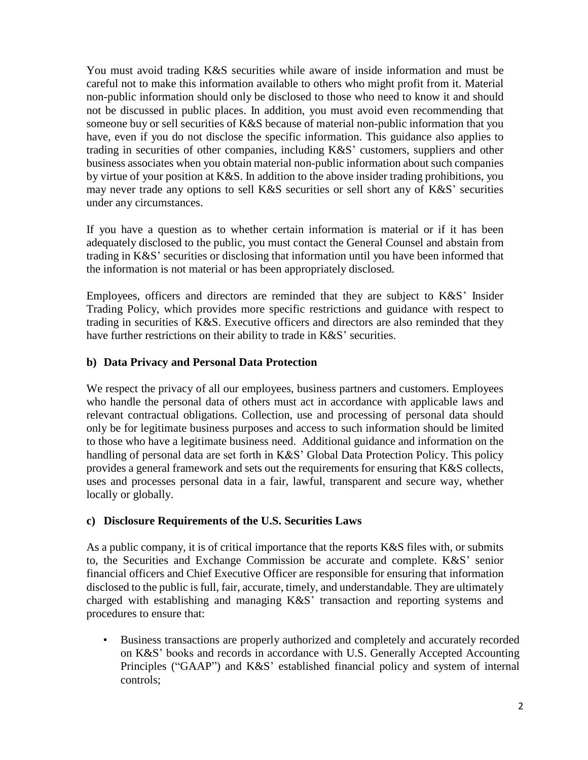You must avoid trading K&S securities while aware of inside information and must be careful not to make this information available to others who might profit from it. Material non-public information should only be disclosed to those who need to know it and should not be discussed in public places. In addition, you must avoid even recommending that someone buy or sell securities of K&S because of material non-public information that you have, even if you do not disclose the specific information. This guidance also applies to trading in securities of other companies, including K&S' customers, suppliers and other business associates when you obtain material non-public information about such companies by virtue of your position at K&S. In addition to the above insider trading prohibitions, you may never trade any options to sell K&S securities or sell short any of K&S' securities under any circumstances.

If you have a question as to whether certain information is material or if it has been adequately disclosed to the public, you must contact the General Counsel and abstain from trading in K&S' securities or disclosing that information until you have been informed that the information is not material or has been appropriately disclosed.

Employees, officers and directors are reminded that they are subject to K&S' Insider Trading Policy, which provides more specific restrictions and guidance with respect to trading in securities of K&S. Executive officers and directors are also reminded that they have further restrictions on their ability to trade in K&S' securities.

# **b) Data Privacy and Personal Data Protection**

We respect the privacy of all our employees, business partners and customers. Employees who handle the personal data of others must act in accordance with applicable laws and relevant contractual obligations. Collection, use and processing of personal data should only be for legitimate business purposes and access to such information should be limited to those who have a legitimate business need. Additional guidance and information on the handling of personal data are set forth in K&S' Global Data Protection Policy. This policy provides a general framework and sets out the requirements for ensuring that K&S collects, uses and processes personal data in a fair, lawful, transparent and secure way, whether locally or globally.

## **c) Disclosure Requirements of the U.S. Securities Laws**

As a public company, it is of critical importance that the reports K&S files with, or submits to, the Securities and Exchange Commission be accurate and complete. K&S' senior financial officers and Chief Executive Officer are responsible for ensuring that information disclosed to the public is full, fair, accurate, timely, and understandable. They are ultimately charged with establishing and managing K&S' transaction and reporting systems and procedures to ensure that:

• Business transactions are properly authorized and completely and accurately recorded on K&S' books and records in accordance with U.S. Generally Accepted Accounting Principles ("GAAP") and K&S' established financial policy and system of internal controls;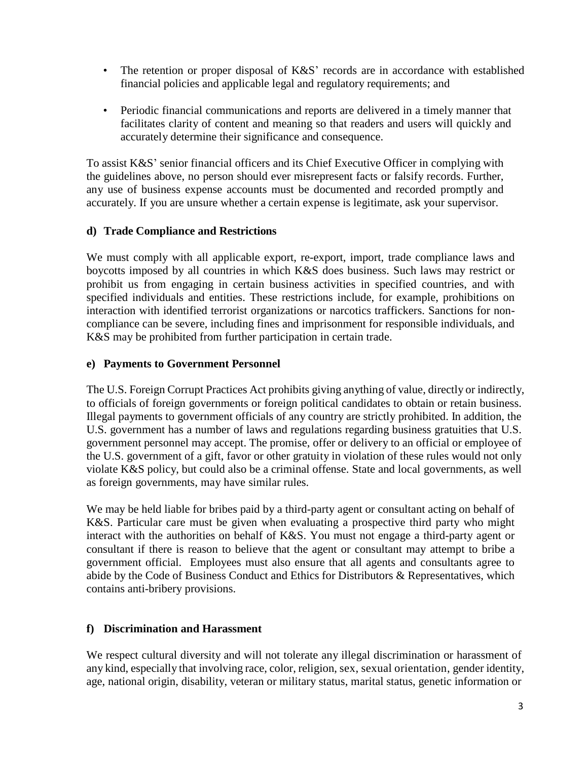- The retention or proper disposal of K&S' records are in accordance with established financial policies and applicable legal and regulatory requirements; and
- Periodic financial communications and reports are delivered in a timely manner that facilitates clarity of content and meaning so that readers and users will quickly and accurately determine their significance and consequence.

To assist K&S' senior financial officers and its Chief Executive Officer in complying with the guidelines above, no person should ever misrepresent facts or falsify records. Further, any use of business expense accounts must be documented and recorded promptly and accurately. If you are unsure whether a certain expense is legitimate, ask your supervisor.

### **d) Trade Compliance and Restrictions**

We must comply with all applicable export, re-export, import, trade compliance laws and boycotts imposed by all countries in which K&S does business. Such laws may restrict or prohibit us from engaging in certain business activities in specified countries, and with specified individuals and entities. These restrictions include, for example, prohibitions on interaction with identified terrorist organizations or narcotics traffickers. Sanctions for noncompliance can be severe, including fines and imprisonment for responsible individuals, and K&S may be prohibited from further participation in certain trade.

### **e) Payments to Government Personnel**

The U.S. Foreign Corrupt Practices Act prohibits giving anything of value, directly or indirectly, to officials of foreign governments or foreign political candidates to obtain or retain business. Illegal payments to government officials of any country are strictly prohibited. In addition, the U.S. government has a number of laws and regulations regarding business gratuities that U.S. government personnel may accept. The promise, offer or delivery to an official or employee of the U.S. government of a gift, favor or other gratuity in violation of these rules would not only violate K&S policy, but could also be a criminal offense. State and local governments, as well as foreign governments, may have similar rules.

We may be held liable for bribes paid by a third-party agent or consultant acting on behalf of K&S. Particular care must be given when evaluating a prospective third party who might interact with the authorities on behalf of K&S. You must not engage a third-party agent or consultant if there is reason to believe that the agent or consultant may attempt to bribe a government official. Employees must also ensure that all agents and consultants agree to abide by the Code of Business Conduct and Ethics for Distributors & Representatives, which contains anti-bribery provisions.

## **f) Discrimination and Harassment**

We respect cultural diversity and will not tolerate any illegal discrimination or harassment of any kind, especially that involving race, color, religion, sex, sexual orientation, gender identity, age, national origin, disability, veteran or military status, marital status, genetic information or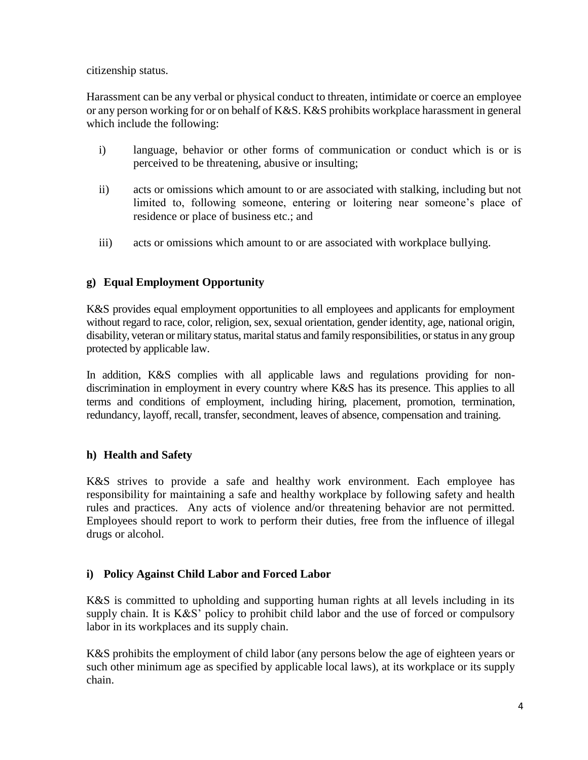citizenship status.

Harassment can be any verbal or physical conduct to threaten, intimidate or coerce an employee or any person working for or on behalf of K&S. K&S prohibits workplace harassment in general which include the following:

- i) language, behavior or other forms of communication or conduct which is or is perceived to be threatening, abusive or insulting;
- ii) acts or omissions which amount to or are associated with stalking, including but not limited to, following someone, entering or loitering near someone's place of residence or place of business etc.; and
- iii) acts or omissions which amount to or are associated with workplace bullying.

# **g) Equal Employment Opportunity**

K&S provides equal employment opportunities to all employees and applicants for employment without regard to race, color, religion, sex, sexual orientation, gender identity, age, national origin, disability, veteran or military status, marital status and family responsibilities, or status in any group protected by applicable law.

In addition, K&S complies with all applicable laws and regulations providing for nondiscrimination in employment in every country where K&S has its presence. This applies to all terms and conditions of employment, including hiring, placement, promotion, termination, redundancy, layoff, recall, transfer, secondment, leaves of absence, compensation and training.

## **h) Health and Safety**

K&S strives to provide a safe and healthy work environment. Each employee has responsibility for maintaining a safe and healthy workplace by following safety and health rules and practices. Any acts of violence and/or threatening behavior are not permitted. Employees should report to work to perform their duties, free from the influence of illegal drugs or alcohol.

## **i) Policy Against Child Labor and Forced Labor**

K&S is committed to upholding and supporting human rights at all levels including in its supply chain. It is K&S' policy to prohibit child labor and the use of forced or compulsory labor in its workplaces and its supply chain.

K&S prohibits the employment of child labor (any persons below the age of eighteen years or such other minimum age as specified by applicable local laws), at its workplace or its supply chain.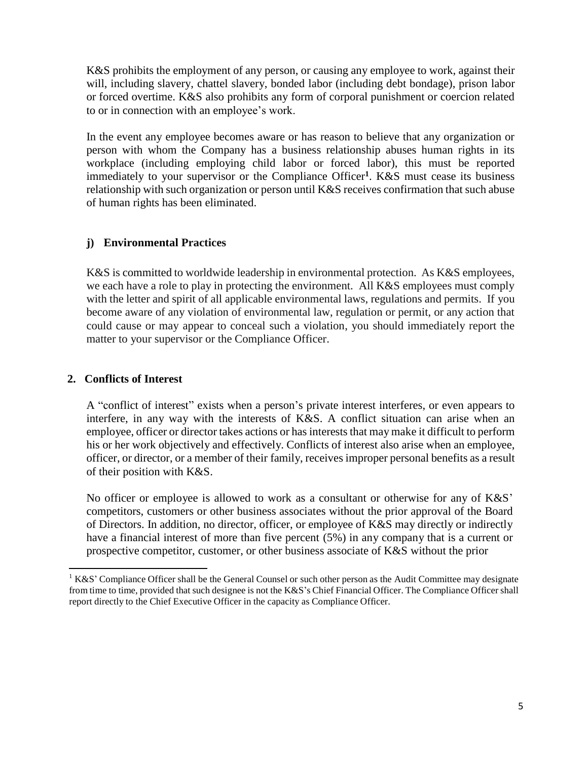K&S prohibits the employment of any person, or causing any employee to work, against their will, including slavery, chattel slavery, bonded labor (including debt bondage), prison labor or forced overtime. K&S also prohibits any form of corporal punishment or coercion related to or in connection with an employee's work.

In the event any employee becomes aware or has reason to believe that any organization or person with whom the Company has a business relationship abuses human rights in its workplace (including employing child labor or forced labor), this must be reported immediately to your supervisor or the Compliance Officer**<sup>1</sup>** . K&S must cease its business relationship with such organization or person until K&S receives confirmation that such abuse of human rights has been eliminated.

## **j) Environmental Practices**

K&S is committed to worldwide leadership in environmental protection. As K&S employees, we each have a role to play in protecting the environment. All K&S employees must comply with the letter and spirit of all applicable environmental laws, regulations and permits. If you become aware of any violation of environmental law, regulation or permit, or any action that could cause or may appear to conceal such a violation, you should immediately report the matter to your supervisor or the Compliance Officer.

## **2. Conflicts of Interest**

A "conflict of interest" exists when a person's private interest interferes, or even appears to interfere, in any way with the interests of K&S. A conflict situation can arise when an employee, officer or director takes actions or has interests that may make it difficult to perform his or her work objectively and effectively. Conflicts of interest also arise when an employee, officer, or director, or a member of their family, receives improper personal benefits as a result of their position with K&S.

No officer or employee is allowed to work as a consultant or otherwise for any of K&S' competitors, customers or other business associates without the prior approval of the Board of Directors. In addition, no director, officer, or employee of K&S may directly or indirectly have a financial interest of more than five percent (5%) in any company that is a current or prospective competitor, customer, or other business associate of K&S without the prior

 $1 K&S'$  Compliance Officer shall be the General Counsel or such other person as the Audit Committee may designate from time to time, provided that such designee is not the K&S's Chief Financial Officer. The Compliance Officer shall report directly to the Chief Executive Officer in the capacity as Compliance Officer.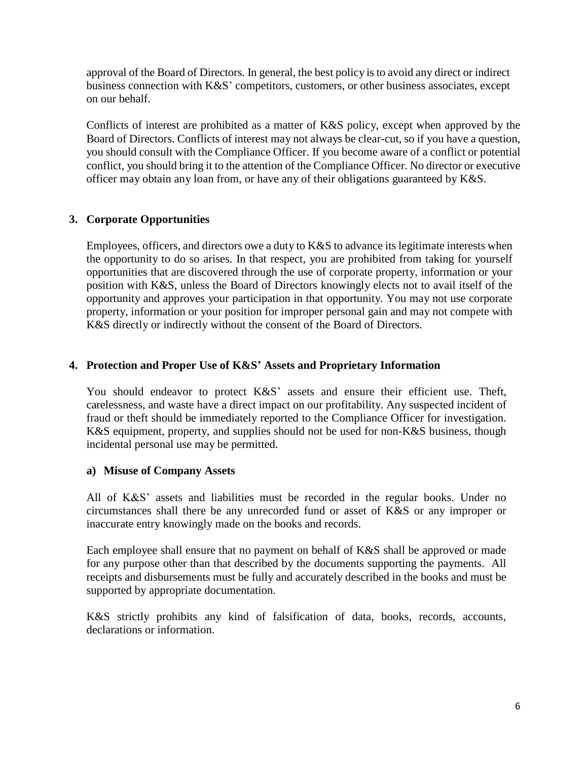approval of the Board of Directors. In general, the best policy is to avoid any direct or indirect business connection with K&S' competitors, customers, or other business associates, except on our behalf.

Conflicts of interest are prohibited as a matter of K&S policy, except when approved by the Board of Directors. Conflicts of interest may not always be clear-cut, so if you have a question, you should consult with the Compliance Officer. If you become aware of a conflict or potential conflict, you should bring it to the attention of the Compliance Officer. No director or executive officer may obtain any loan from, or have any of their obligations guaranteed by K&S.

# **3. Corporate Opportunities**

Employees, officers, and directors owe a duty to K&S to advance its legitimate interests when the opportunity to do so arises. In that respect, you are prohibited from taking for yourself opportunities that are discovered through the use of corporate property, information or your position with K&S, unless the Board of Directors knowingly elects not to avail itself of the opportunity and approves your participation in that opportunity. You may not use corporate property, information or your position for improper personal gain and may not compete with K&S directly or indirectly without the consent of the Board of Directors.

## **4. Protection and Proper Use of K&S' Assets and Proprietary Information**

You should endeavor to protect K&S' assets and ensure their efficient use. Theft, carelessness, and waste have a direct impact on our profitability. Any suspected incident of fraud or theft should be immediately reported to the Compliance Officer for investigation. K&S equipment, property, and supplies should not be used for non-K&S business, though incidental personal use may be permitted.

### **a) Misuse of Company Assets**

All of K&S' assets and liabilities must be recorded in the regular books. Under no circumstances shall there be any unrecorded fund or asset of K&S or any improper or inaccurate entry knowingly made on the books and records.

Each employee shall ensure that no payment on behalf of K&S shall be approved or made for any purpose other than that described by the documents supporting the payments. All receipts and disbursements must be fully and accurately described in the books and must be supported by appropriate documentation.

K&S strictly prohibits any kind of falsification of data, books, records, accounts, declarations or information.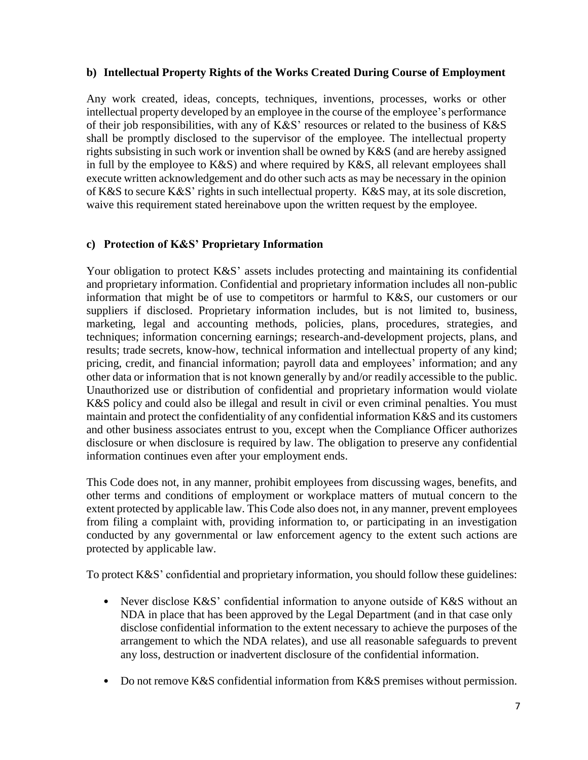### **b) Intellectual Property Rights of the Works Created During Course of Employment**

Any work created, ideas, concepts, techniques, inventions, processes, works or other intellectual property developed by an employee in the course of the employee's performance of their job responsibilities, with any of K&S' resources or related to the business of K&S shall be promptly disclosed to the supervisor of the employee. The intellectual property rights subsisting in such work or invention shall be owned by K&S (and are hereby assigned in full by the employee to K&S) and where required by K&S, all relevant employees shall execute written acknowledgement and do other such acts as may be necessary in the opinion of K&S to secure K&S' rights in such intellectual property. K&S may, at its sole discretion, waive this requirement stated hereinabove upon the written request by the employee.

### **c) Protection of K&S' Proprietary Information**

Your obligation to protect K&S' assets includes protecting and maintaining its confidential and proprietary information. Confidential and proprietary information includes all non-public information that might be of use to competitors or harmful to K&S, our customers or our suppliers if disclosed. Proprietary information includes, but is not limited to, business, marketing, legal and accounting methods, policies, plans, procedures, strategies, and techniques; information concerning earnings; research-and-development projects, plans, and results; trade secrets, know-how, technical information and intellectual property of any kind; pricing, credit, and financial information; payroll data and employees' information; and any other data or information that is not known generally by and/or readily accessible to the public. Unauthorized use or distribution of confidential and proprietary information would violate K&S policy and could also be illegal and result in civil or even criminal penalties. You must maintain and protect the confidentiality of any confidential information K&S and its customers and other business associates entrust to you, except when the Compliance Officer authorizes disclosure or when disclosure is required by law. The obligation to preserve any confidential information continues even after your employment ends.

This Code does not, in any manner, prohibit employees from discussing wages, benefits, and other terms and conditions of employment or workplace matters of mutual concern to the extent protected by applicable law. This Code also does not, in any manner, prevent employees from filing a complaint with, providing information to, or participating in an investigation conducted by any governmental or law enforcement agency to the extent such actions are protected by applicable law.

To protect K&S' confidential and proprietary information, you should follow these guidelines:

- Never disclose K&S' confidential information to anyone outside of K&S without an NDA in place that has been approved by the Legal Department (and in that case only disclose confidential information to the extent necessary to achieve the purposes of the arrangement to which the NDA relates), and use all reasonable safeguards to prevent any loss, destruction or inadvertent disclosure of the confidential information.
- Do not remove K&S confidential information from K&S premises without permission.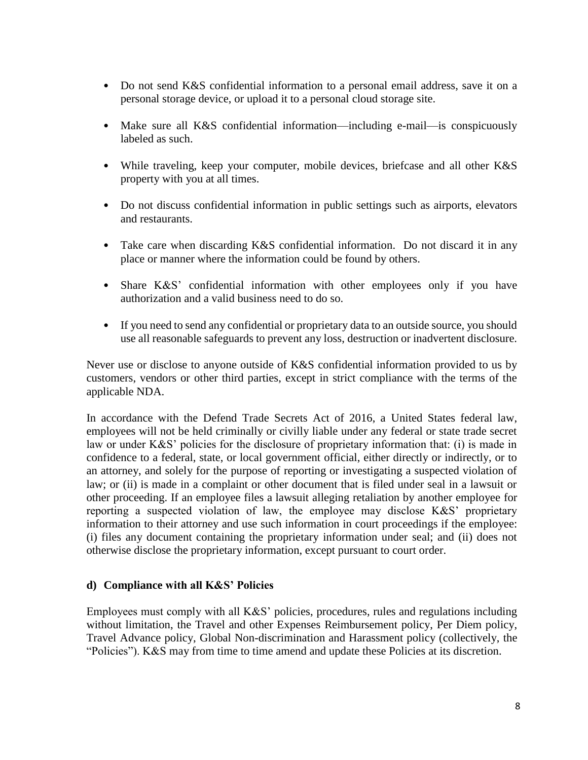- Do not send K&S confidential information to a personal email address, save it on a personal storage device, or upload it to a personal cloud storage site.
- Make sure all K&S confidential information—including e-mail—is conspicuously labeled as such.
- While traveling, keep your computer, mobile devices, briefcase and all other K&S property with you at all times.
- Do not discuss confidential information in public settings such as airports, elevators and restaurants.
- Take care when discarding K&S confidential information. Do not discard it in any place or manner where the information could be found by others.
- Share K&S' confidential information with other employees only if you have authorization and a valid business need to do so.
- If you need to send any confidential or proprietary data to an outside source, you should use all reasonable safeguards to prevent any loss, destruction or inadvertent disclosure.

Never use or disclose to anyone outside of K&S confidential information provided to us by customers, vendors or other third parties, except in strict compliance with the terms of the applicable NDA.

In accordance with the Defend Trade Secrets Act of 2016, a United States federal law, employees will not be held criminally or civilly liable under any federal or state trade secret law or under K&S' policies for the disclosure of proprietary information that: (i) is made in confidence to a federal, state, or local government official, either directly or indirectly, or to an attorney, and solely for the purpose of reporting or investigating a suspected violation of law; or (ii) is made in a complaint or other document that is filed under seal in a lawsuit or other proceeding. If an employee files a lawsuit alleging retaliation by another employee for reporting a suspected violation of law, the employee may disclose K&S' proprietary information to their attorney and use such information in court proceedings if the employee: (i) files any document containing the proprietary information under seal; and (ii) does not otherwise disclose the proprietary information, except pursuant to court order.

## **d) Compliance with all K&S' Policies**

Employees must comply with all K&S' policies, procedures, rules and regulations including without limitation, the Travel and other Expenses Reimbursement policy, Per Diem policy, Travel Advance policy, Global Non-discrimination and Harassment policy (collectively, the "Policies"). K&S may from time to time amend and update these Policies at its discretion.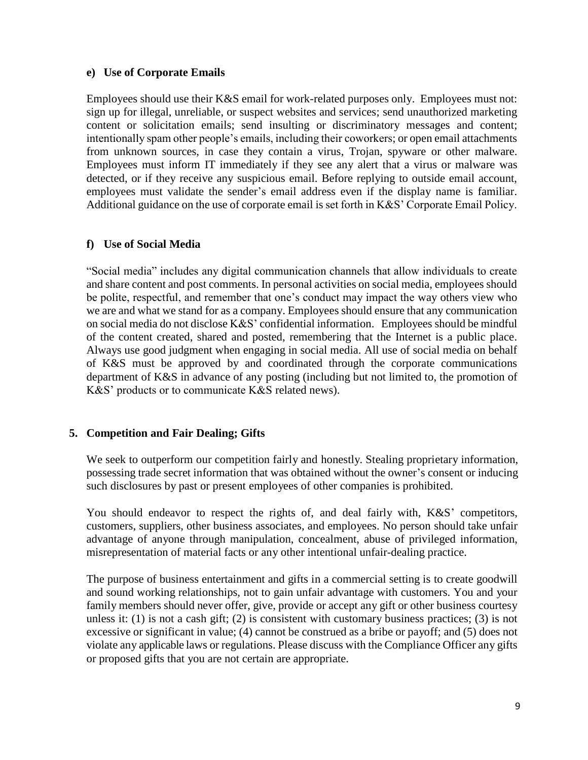#### **e) Use of Corporate Emails**

Employees should use their K&S email for work-related purposes only. Employees must not: sign up for illegal, unreliable, or suspect websites and services; send unauthorized marketing content or solicitation emails; send insulting or discriminatory messages and content; intentionally spam other people's emails, including their coworkers; or open email attachments from unknown sources, in case they contain a virus, Trojan, spyware or other malware. Employees must inform IT immediately if they see any alert that a virus or malware was detected, or if they receive any suspicious email. Before replying to outside email account, employees must validate the sender's email address even if the display name is familiar. Additional guidance on the use of corporate email is set forth in K&S' Corporate Email Policy.

### **f) Use of Social Media**

"Social media" includes any digital communication channels that allow individuals to create and share content and post comments. In personal activities on social media, employees should be polite, respectful, and remember that one's conduct may impact the way others view who we are and what we stand for as a company. Employees should ensure that any communication on social media do not disclose K&S' confidential information. Employees should be mindful of the content created, shared and posted, remembering that the Internet is a public place. Always use good judgment when engaging in social media. All use of social media on behalf of K&S must be approved by and coordinated through the corporate communications department of K&S in advance of any posting (including but not limited to, the promotion of K&S' products or to communicate K&S related news).

### **5. Competition and Fair Dealing; Gifts**

We seek to outperform our competition fairly and honestly. Stealing proprietary information, possessing trade secret information that was obtained without the owner's consent or inducing such disclosures by past or present employees of other companies is prohibited.

You should endeavor to respect the rights of, and deal fairly with, K&S' competitors, customers, suppliers, other business associates, and employees. No person should take unfair advantage of anyone through manipulation, concealment, abuse of privileged information, misrepresentation of material facts or any other intentional unfair-dealing practice.

The purpose of business entertainment and gifts in a commercial setting is to create goodwill and sound working relationships, not to gain unfair advantage with customers. You and your family members should never offer, give, provide or accept any gift or other business courtesy unless it: (1) is not a cash gift; (2) is consistent with customary business practices; (3) is not excessive or significant in value; (4) cannot be construed as a bribe or payoff; and (5) does not violate any applicable laws or regulations. Please discuss with the Compliance Officer any gifts or proposed gifts that you are not certain are appropriate.